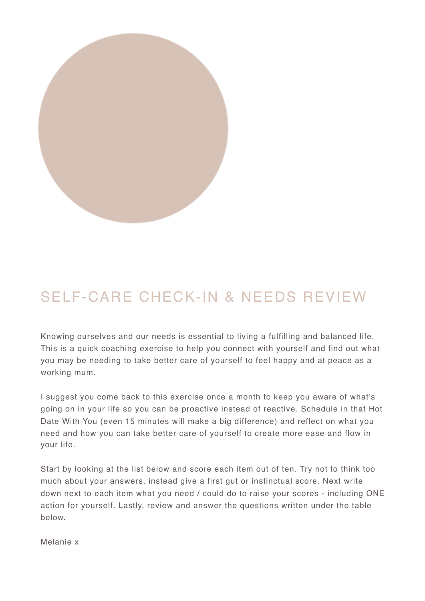

## SELF-CARE CHECK-IN & NEEDS REVIEW

Knowing ourselves and our needs is essential to living a fulfilling and balanced life. This is a quick coaching exercise to help you connect with yourself and find out what you may be needing to take better care of yourself to feel happy and at peace as a working mum.

I suggest you come back to this exercise once a month to keep you aware of what's going on in your life so you can be proactive instead of reactive. Schedule in that Hot Date With You (even 15 minutes will make a big difference) and reflect on what you need and how you can take better care of yourself to create more ease and flow in your life.

Start by looking at the list below and score each item out of ten. Try not to think too much about your answers, instead give a first gut or instinctual score. Next write down next to each item what you need / could do to raise your scores - including ONE action for yourself. Lastly, review and answer the questions written under the table below.

Melanie x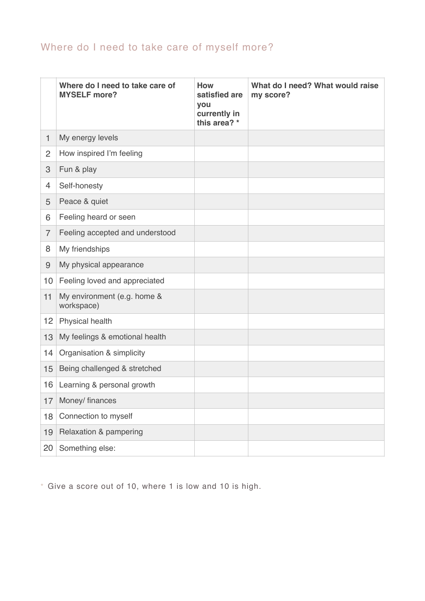## Where do I need to take care of myself more?

|                | Where do I need to take care of<br><b>MYSELF more?</b> | <b>How</b><br>satisfied are<br>you<br>currently in<br>this area? * | What do I need? What would raise<br>my score? |
|----------------|--------------------------------------------------------|--------------------------------------------------------------------|-----------------------------------------------|
| $\mathbf{1}$   | My energy levels                                       |                                                                    |                                               |
| 2              | How inspired I'm feeling                               |                                                                    |                                               |
| 3              | Fun & play                                             |                                                                    |                                               |
| 4              | Self-honesty                                           |                                                                    |                                               |
| 5              | Peace & quiet                                          |                                                                    |                                               |
| 6              | Feeling heard or seen                                  |                                                                    |                                               |
| $\overline{7}$ | Feeling accepted and understood                        |                                                                    |                                               |
| 8              | My friendships                                         |                                                                    |                                               |
| $\overline{9}$ | My physical appearance                                 |                                                                    |                                               |
| 10             | Feeling loved and appreciated                          |                                                                    |                                               |
| 11             | My environment (e.g. home &<br>workspace)              |                                                                    |                                               |
| 12             | Physical health                                        |                                                                    |                                               |
| 13             | My feelings & emotional health                         |                                                                    |                                               |
| 14             | Organisation & simplicity                              |                                                                    |                                               |
| 15             | Being challenged & stretched                           |                                                                    |                                               |
| 16             | Learning & personal growth                             |                                                                    |                                               |
| 17             | Money/ finances                                        |                                                                    |                                               |
| 18             | Connection to myself                                   |                                                                    |                                               |
| 19             | Relaxation & pampering                                 |                                                                    |                                               |
| 20             | Something else:                                        |                                                                    |                                               |

 $*$  Give a score out of 10, where 1 is low and 10 is high.